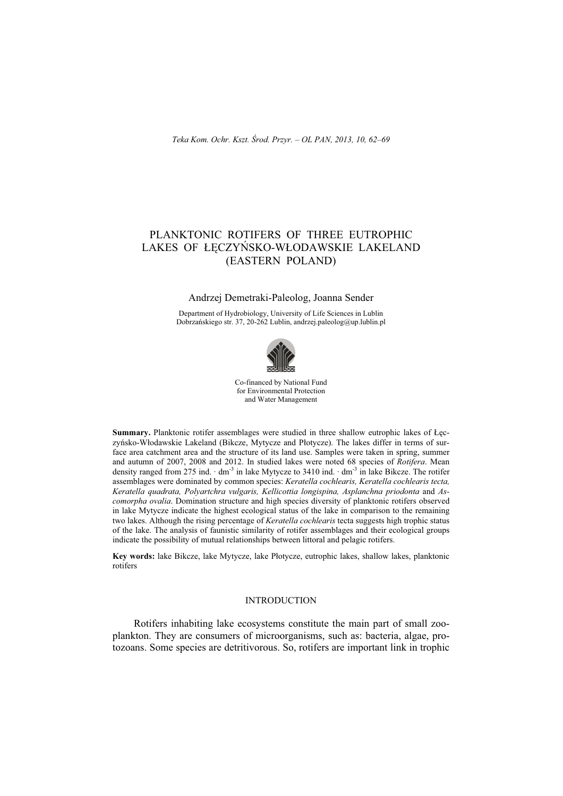# PLANKTONIC ROTIFERS OF THREE EUTROPHIC LAKES OF ŁECZYŃSKO-WŁODAWSKIE LAKELAND (EASTERN POLAND)

## Andrzej Demetraki-Paleolog, Joanna Sender

Department of Hydrobiology, University of Life Sciences in Lublin Dobrzańskiego str. 37, 20-262 Lublin, andrzej.paleolog@up.lublin.pl



Co-financed by National Fund for Environmental Protection and Water Management

**Summary.** Planktonic rotifer assemblages were studied in three shallow eutrophic lakes of Leczyńsko-Włodawskie Lakeland (Bikcze, Mytycze and Płotycze). The lakes differ in terms of surface area catchment area and the structure of its land use. Samples were taken in spring, summer and autumn of 2007, 2008 and 2012. In studied lakes were noted 68 species of *Rotifera*. Mean density ranged from 275 ind.  $\cdot$  dm<sup>-3</sup> in lake Mytycze to 3410 ind.  $\cdot$  dm<sup>-3</sup> in lake Bikcze. The rotifer assemblages were dominated by common species: *Keratella cochlearis, Keratella cochlearis tecta, Keratella quadrata, Polyartchra vulgaris, Kellicottia longispina, Asplanchna priodonta* and *Ascomorpha ovalia*. Domination structure and high species diversity of planktonic rotifers observed in lake Mytycze indicate the highest ecological status of the lake in comparison to the remaining two lakes. Although the rising percentage of *Keratella cochlearis* tecta suggests high trophic status of the lake. The analysis of faunistic similarity of rotifer assemblages and their ecological groups indicate the possibility of mutual relationships between littoral and pelagic rotifers.

Key words: lake Bikcze, lake Mytycze, lake Płotycze, eutrophic lakes, shallow lakes, planktonic rotifers

## INTRODUCTION

Rotifers inhabiting lake ecosystems constitute the main part of small zooplankton. They are consumers of microorganisms, such as: bacteria, algae, protozoans. Some species are detritivorous. So, rotifers are important link in trophic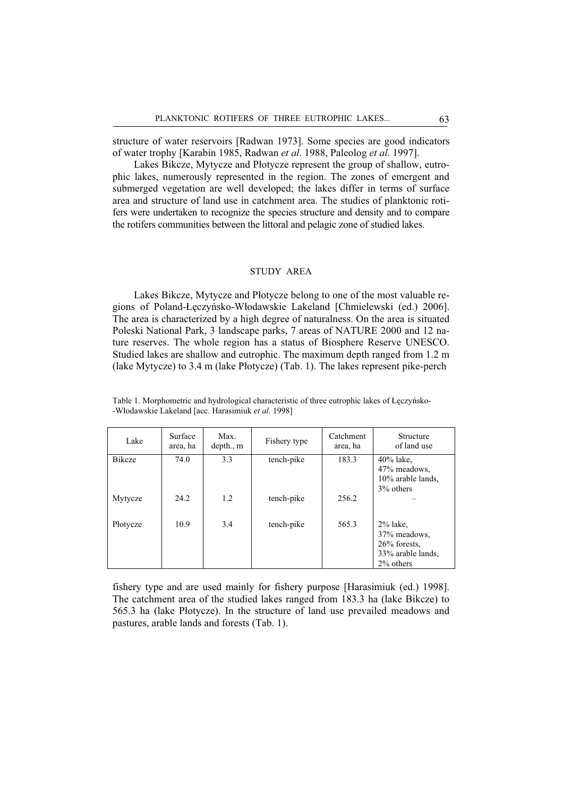structure of water reservoirs [Radwan 1973]. Some species are good indicators of water trophy [Karabin 1985, Radwan *et al*. 1988, Paleolog *et al*. 1997].

Lakes Bikcze, Mytycze and Płotycze represent the group of shallow, eutrophic lakes, numerously represented in the region. The zones of emergent and submerged vegetation are well developed; the lakes differ in terms of surface area and structure of land use in catchment area. The studies of planktonic rotifers were undertaken to recognize the species structure and density and to compare the rotifers communities between the littoral and pelagic zone of studied lakes.

#### STUDY AREA

Lakes Bikcze, Mytycze and Płotycze belong to one of the most valuable regions of Poland-Łęczyńsko-Włodawskie Lakeland [Chmielewski (ed.) 2006]. The area is characterized by a high degree of naturalness. On the area is situated Poleski National Park, 3 landscape parks, 7 areas of NATURE 2000 and 12 nature reserves. The whole region has a status of Biosphere Reserve UNESCO. Studied lakes are shallow and eutrophic. The maximum depth ranged from 1.2 m (lake Mytycze) to 3.4 m (lake Płotycze) (Tab. 1). The lakes represent pike-perch

| Lake          | Surface<br>area, ha | Max.<br>depth., m | Fishery type | Catchment<br>area, ha | Structure<br>of land use                                                            |
|---------------|---------------------|-------------------|--------------|-----------------------|-------------------------------------------------------------------------------------|
| <b>Bikcze</b> | 74.0                | 3.3               | tench-pike   | 183.3                 | $40\%$ lake,<br>47% meadows,<br>$10\%$ arable lands,<br>3% others                   |
| Mytycze       | 24.2                | 1.2               | tench-pike   | 256.2                 |                                                                                     |
| Płotycze      | 10.9                | 3.4               | tench-pike   | 565.3                 | $2\%$ lake.<br>37% meadows,<br>$26\%$ forests,<br>33% arable lands,<br>$2\%$ others |

Table 1. Morphometric and hydrological characteristic of three eutrophic lakes of Łęczyńsko--Wáodawskie Lakeland [acc. Harasimiuk *et al*. 1998]

fishery type and are used mainly for fishery purpose [Harasimiuk (ed.) 1998]. The catchment area of the studied lakes ranged from 183.3 ha (lake Bikcze) to 565.3 ha (lake Płotycze). In the structure of land use prevailed meadows and pastures, arable lands and forests (Tab. 1).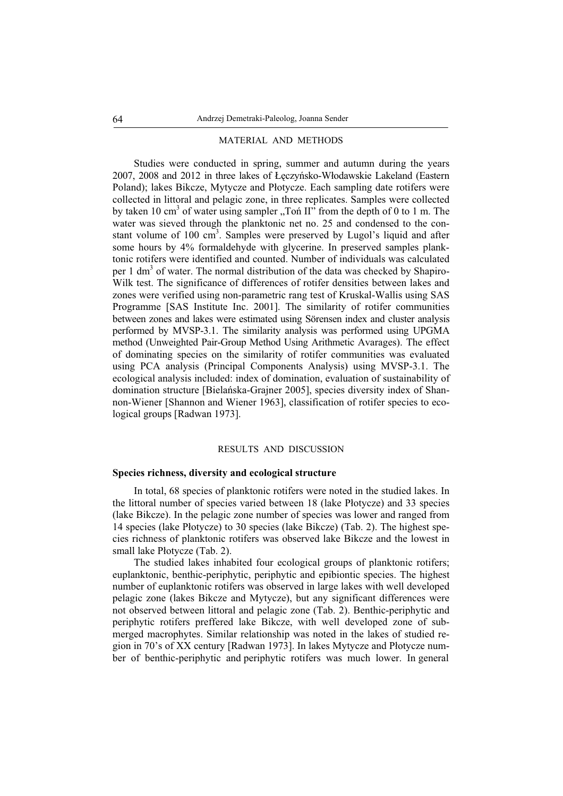#### MATERIAL AND METHODS

Studies were conducted in spring, summer and autumn during the years 2007, 2008 and 2012 in three lakes of Łęczyńsko-Włodawskie Lakeland (Eastern Poland); lakes Bikcze, Mytycze and Płotycze. Each sampling date rotifers were collected in littoral and pelagic zone, in three replicates. Samples were collected by taken 10 cm<sup>3</sup> of water using sampler "Ton II" from the depth of 0 to 1 m. The water was sieved through the planktonic net no. 25 and condensed to the constant volume of 100 cm<sup>3</sup>. Samples were preserved by Lugol's liquid and after some hours by 4% formaldehyde with glycerine. In preserved samples planktonic rotifers were identified and counted. Number of individuals was calculated per 1 dm<sup>3</sup> of water. The normal distribution of the data was checked by Shapiro-Wilk test. The significance of differences of rotifer densities between lakes and zones were verified using non-parametric rang test of Kruskal-Wallis using SAS Programme [SAS Institute Inc. 2001]. The similarity of rotifer communities between zones and lakes were estimated using Sörensen index and cluster analysis performed by MVSP-3.1. The similarity analysis was performed using UPGMA method (Unweighted Pair-Group Method Using Arithmetic Avarages). The effect of dominating species on the similarity of rotifer communities was evaluated using PCA analysis (Principal Components Analysis) using MVSP-3.1. The ecological analysis included: index of domination, evaluation of sustainability of domination structure [Bielańska-Grajner 2005], species diversity index of Shannon-Wiener [Shannon and Wiener 1963], classification of rotifer species to ecological groups [Radwan 1973].

### RESULTS AND DISCUSSION

# **Species richness, diversity and ecological structure**

In total, 68 species of planktonic rotifers were noted in the studied lakes. In the littoral number of species varied between 18 (lake Płotycze) and 33 species (lake Bikcze). In the pelagic zone number of species was lower and ranged from 14 species (lake Páotycze) to 30 species (lake Bikcze) (Tab. 2). The highest species richness of planktonic rotifers was observed lake Bikcze and the lowest in small lake Płotycze (Tab. 2).

The studied lakes inhabited four ecological groups of planktonic rotifers; euplanktonic, benthic-periphytic, periphytic and epibiontic species. The highest number of euplanktonic rotifers was observed in large lakes with well developed pelagic zone (lakes Bikcze and Mytycze), but any significant differences were not observed between littoral and pelagic zone (Tab. 2). Benthic-periphytic and periphytic rotifers preffered lake Bikcze, with well developed zone of submerged macrophytes. Similar relationship was noted in the lakes of studied region in 70's of XX century [Radwan 1973]. In lakes Mytycze and Płotycze number of benthic-periphytic and periphytic rotifers was much lower. In general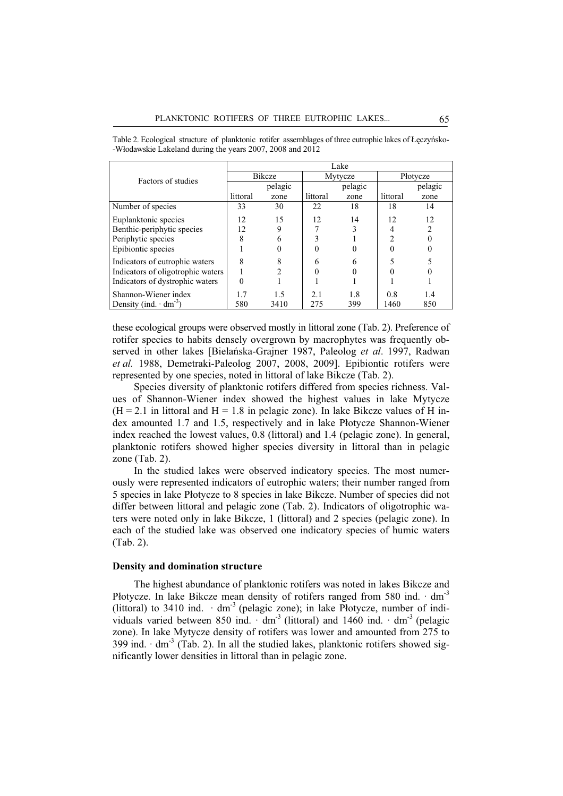|                                   | Lake          |                |          |         |                |                |  |  |
|-----------------------------------|---------------|----------------|----------|---------|----------------|----------------|--|--|
| Factors of studies                | <b>Bikcze</b> |                | Mytycze  |         | Płotycze       |                |  |  |
|                                   |               | pelagic        |          | pelagic |                | pelagic        |  |  |
|                                   | littoral      | zone           | littoral | zone    | littoral       | zone           |  |  |
| Number of species                 | 33            | 30             | 22       | 18      | 18             | 14             |  |  |
| Euplanktonic species              | 12            | 15             | 12       | 14      | 12             | 12             |  |  |
| Benthic-periphytic species        | 12            | 9              |          |         |                | $\overline{c}$ |  |  |
| Periphytic species                | 8             | 6              |          |         | $\mathfrak{D}$ |                |  |  |
| Epibiontic species                |               |                |          |         |                |                |  |  |
| Indicators of eutrophic waters    | 8             | 8              | 6        | 6       |                |                |  |  |
| Indicators of oligotrophic waters |               | $\mathfrak{D}$ | 0        |         |                |                |  |  |
| Indicators of dystrophic waters   | 0             |                |          |         |                |                |  |  |
| Shannon-Wiener index              | 1.7           | 1.5            | 2.1      | 1.8     | 0.8            | 1.4            |  |  |
| Density (ind. $dm^{-3}$ )         | 580           | 3410           | 275      | 399     | 1460           | 850            |  |  |

Table 2. Ecological structure of planktonic rotifer assemblages of three eutrophic lakes of Łęczyńsko--Włodawskie Lakeland during the years 2007, 2008 and 2012

these ecological groups were observed mostly in littoral zone (Tab. 2). Preference of rotifer species to habits densely overgrown by macrophytes was frequently observed in other lakes [Bielańska-Grajner 1987, Paleolog *et al.* 1997, Radwan *et al.* 1988, Demetraki-Paleolog 2007, 2008, 2009]. Epibiontic rotifers were represented by one species, noted in littoral of lake Bikcze (Tab. 2).

Species diversity of planktonic rotifers differed from species richness. Values of Shannon-Wiener index showed the highest values in lake Mytycze  $(H = 2.1$  in littoral and  $H = 1.8$  in pelagic zone). In lake Bikcze values of H index amounted 1.7 and 1.5, respectively and in lake Płotycze Shannon-Wiener index reached the lowest values, 0.8 (littoral) and 1.4 (pelagic zone). In general, planktonic rotifers showed higher species diversity in littoral than in pelagic zone (Tab. 2).

In the studied lakes were observed indicatory species. The most numerously were represented indicators of eutrophic waters; their number ranged from 5 species in lake Płotycze to 8 species in lake Bikcze. Number of species did not differ between littoral and pelagic zone (Tab. 2). Indicators of oligotrophic waters were noted only in lake Bikcze, 1 (littoral) and 2 species (pelagic zone). In each of the studied lake was observed one indicatory species of humic waters (Tab. 2).

### **Density and domination structure**

The highest abundance of planktonic rotifers was noted in lakes Bikcze and Płotycze. In lake Bikcze mean density of rotifers ranged from 580 ind.  $\cdot$  dm<sup>-3</sup> (littoral) to 3410 ind.  $\cdot$  dm<sup>-3</sup> (pelagic zone); in lake Płotycze, number of individuals varied between 850 ind.  $\cdot$  dm<sup>-3</sup> (littoral) and 1460 ind.  $\cdot$  dm<sup>-3</sup> (pelagic zone). In lake Mytycze density of rotifers was lower and amounted from 275 to 399 ind.  $\cdot$  dm<sup>-3</sup> (Tab. 2). In all the studied lakes, planktonic rotifers showed significantly lower densities in littoral than in pelagic zone.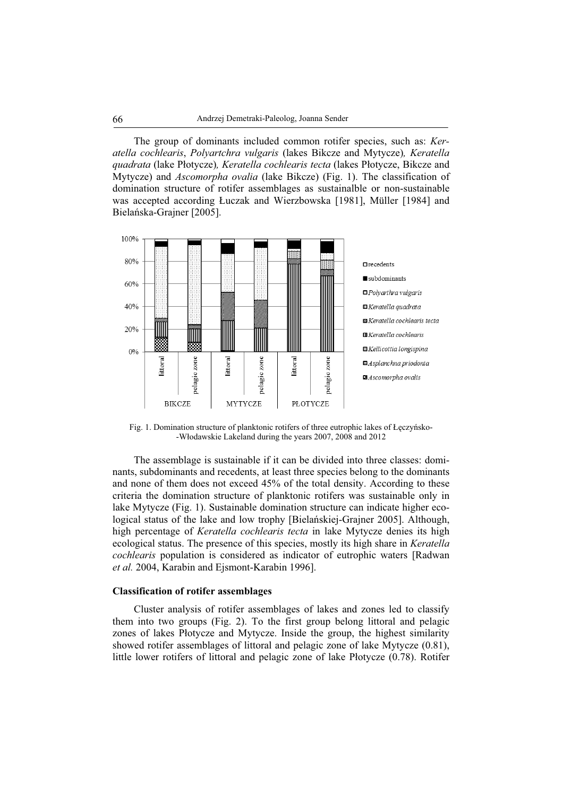The group of dominants included common rotifer species, such as: *Keratella cochlearis*, *Polyartchra vulgaris* (lakes Bikcze and Mytycze)*, Keratella quadrata* (lake Páotycze)*, Keratella cochlearis tecta* (lakes Páotycze, Bikcze and Mytycze) and *Ascomorpha ovalia* (lake Bikcze) (Fig. 1). The classification of domination structure of rotifer assemblages as sustainalble or non-sustainable was accepted according Łuczak and Wierzbowska [1981], Müller [1984] and Bielańska-Grajner [2005].



Fig. 1. Domination structure of planktonic rotifers of three eutrophic lakes of Łęczyńsko--Wáodawskie Lakeland during the years 2007, 2008 and 2012

The assemblage is sustainable if it can be divided into three classes: dominants, subdominants and recedents, at least three species belong to the dominants and none of them does not exceed 45% of the total density. According to these criteria the domination structure of planktonic rotifers was sustainable only in lake Mytycze (Fig. 1). Sustainable domination structure can indicate higher ecological status of the lake and low trophy [Bielańskiej-Grajner 2005]. Although, high percentage of *Keratella cochlearis tecta* in lake Mytycze denies its high ecological status. The presence of this species, mostly its high share in *Keratella cochlearis* population is considered as indicator of eutrophic waters [Radwan *et al.* 2004, Karabin and Ejsmont-Karabin 1996].

# **Classification of rotifer assemblages**

Cluster analysis of rotifer assemblages of lakes and zones led to classify them into two groups (Fig. 2). To the first group belong littoral and pelagic zones of lakes Płotycze and Mytycze. Inside the group, the highest similarity showed rotifer assemblages of littoral and pelagic zone of lake Mytycze (0.81), little lower rotifers of littoral and pelagic zone of lake Płotycze (0.78). Rotifer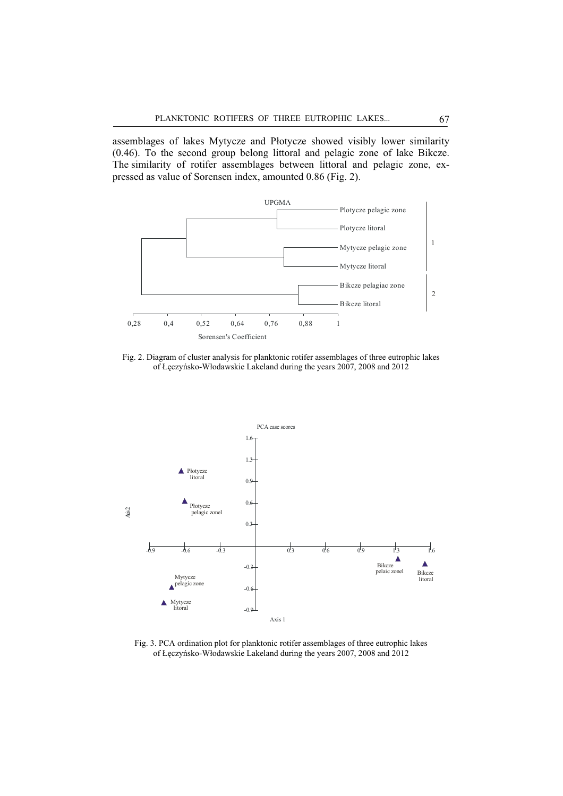assemblages of lakes Mytycze and Płotycze showed visibly lower similarity (0.46). To the second group belong littoral and pelagic zone of lake Bikcze. The similarity of rotifer assemblages between littoral and pelagic zone, expressed as value of Sorensen index, amounted 0.86 (Fig. 2).



Fig. 2. Diagram of cluster analysis for planktonic rotifer assemblages of three eutrophic lakes of Łęczyńsko-Włodawskie Lakeland during the years 2007, 2008 and 2012



Fig. 3. PCA ordination plot for planktonic rotifer assemblages of three eutrophic lakes of Łęczyńsko-Włodawskie Lakeland during the years 2007, 2008 and 2012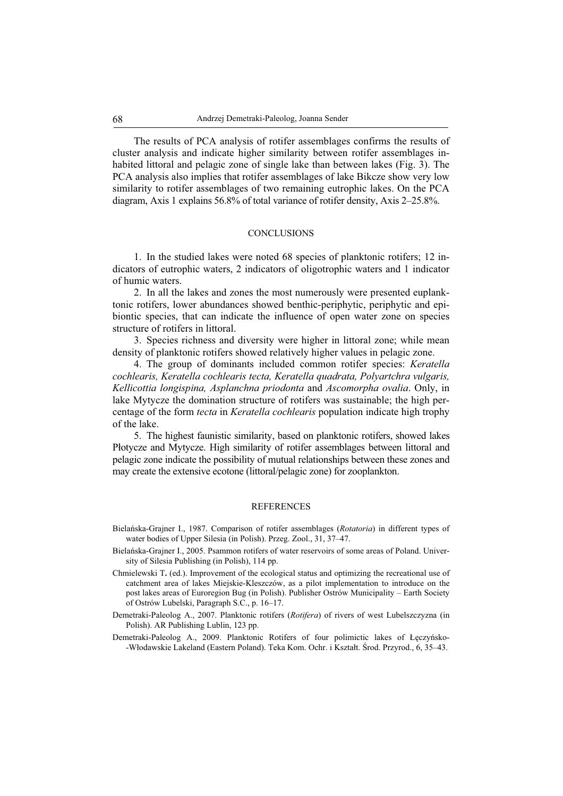The results of PCA analysis of rotifer assemblages confirms the results of cluster analysis and indicate higher similarity between rotifer assemblages inhabited littoral and pelagic zone of single lake than between lakes (Fig. 3). The PCA analysis also implies that rotifer assemblages of lake Bikcze show very low similarity to rotifer assemblages of two remaining eutrophic lakes. On the PCA diagram, Axis 1 explains 56.8% of total variance of rotifer density, Axis 2–25.8%.

## **CONCLUSIONS**

1. In the studied lakes were noted 68 species of planktonic rotifers; 12 indicators of eutrophic waters, 2 indicators of oligotrophic waters and 1 indicator of humic waters.

2. In all the lakes and zones the most numerously were presented euplanktonic rotifers, lower abundances showed benthic-periphytic, periphytic and epibiontic species, that can indicate the influence of open water zone on species structure of rotifers in littoral.

3. Species richness and diversity were higher in littoral zone; while mean density of planktonic rotifers showed relatively higher values in pelagic zone.

4. The group of dominants included common rotifer species: *Keratella cochlearis, Keratella cochlearis tecta, Keratella quadrata, Polyartchra vulgaris, Kellicottia longispina, Asplanchna priodonta* and *Ascomorpha ovalia*. Only, in lake Mytycze the domination structure of rotifers was sustainable; the high percentage of the form *tecta* in *Keratella cochlearis* population indicate high trophy of the lake.

5. The highest faunistic similarity, based on planktonic rotifers, showed lakes Płotycze and Mytycze. High similarity of rotifer assemblages between littoral and pelagic zone indicate the possibility of mutual relationships between these zones and may create the extensive ecotone (littoral/pelagic zone) for zooplankton.

#### **REFERENCES**

- Bielańska-Grajner I., 1987. Comparison of rotifer assemblages (*Rotatoria*) in different types of water bodies of Upper Silesia (in Polish). Przeg. Zool., 31, 37–47.
- Bielańska-Grajner I., 2005. Psammon rotifers of water reservoirs of some areas of Poland. University of Silesia Publishing (in Polish), 114 pp.
- Chmielewski T**.** (ed.). Improvement of the ecological status and optimizing the recreational use of catchment area of lakes Miejskie-Kleszczów, as a pilot implementation to introduce on the post lakes areas of Euroregion Bug (in Polish). Publisher Ostrów Municipality – Earth Society of Ostrów Lubelski, Paragraph S.C., p. 16–17.
- Demetraki-Paleolog A., 2007. Planktonic rotifers (*Rotifera*) of rivers of west Lubelszczyzna (in Polish). AR Publishing Lublin, 123 pp.
- Demetraki-Paleolog A., 2009. Planktonic Rotifers of four polimictic lakes of Łęczyńsko--Wáodawskie Lakeland (Eastern Poland). Teka Kom. Ochr. i Ksztaát. ĝrod. Przyrod., 6, 35–43.